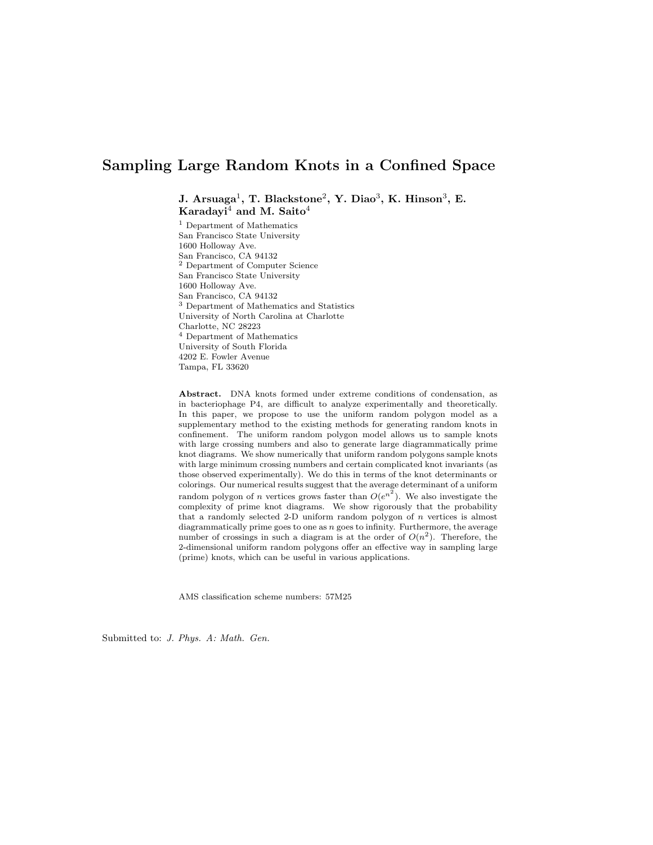# Sampling Large Random Knots in a Confined Space

J. Arsuaga<sup>1</sup>, T. Blackstone<sup>2</sup>, Y. Diao<sup>3</sup>, K. Hinson<sup>3</sup>, E. Karadayi<sup>4</sup> and M. Saito<sup>4</sup>

<sup>1</sup> Department of Mathematics San Francisco State University 1600 Holloway Ave. San Francisco, CA 94132 <sup>2</sup> Department of Computer Science San Francisco State University 1600 Holloway Ave. San Francisco, CA 94132 <sup>3</sup> Department of Mathematics and Statistics University of North Carolina at Charlotte Charlotte, NC 28223 <sup>4</sup> Department of Mathematics University of South Florida 4202 E. Fowler Avenue Tampa, FL 33620

Abstract. DNA knots formed under extreme conditions of condensation, as in bacteriophage P4, are difficult to analyze experimentally and theoretically. In this paper, we propose to use the uniform random polygon model as a supplementary method to the existing methods for generating random knots in confinement. The uniform random polygon model allows us to sample knots with large crossing numbers and also to generate large diagrammatically prime knot diagrams. We show numerically that uniform random polygons sample knots with large minimum crossing numbers and certain complicated knot invariants (as those observed experimentally). We do this in terms of the knot determinants or colorings. Our numerical results suggest that the average determinant of a uniform random polygon of *n* vertices grows faster than  $O(e^{n^2})$ . We also investigate the complexity of prime knot diagrams. We show rigorously that the probability that a randomly selected 2-D uniform random polygon of  $n$  vertices is almost diagrammatically prime goes to one as  $n$  goes to infinity. Furthermore, the average number of crossings in such a diagram is at the order of  $O(n^2)$ . Therefore, the 2-dimensional uniform random polygons offer an effective way in sampling large (prime) knots, which can be useful in various applications.

AMS classification scheme numbers: 57M25

Submitted to: J. Phys. A: Math. Gen.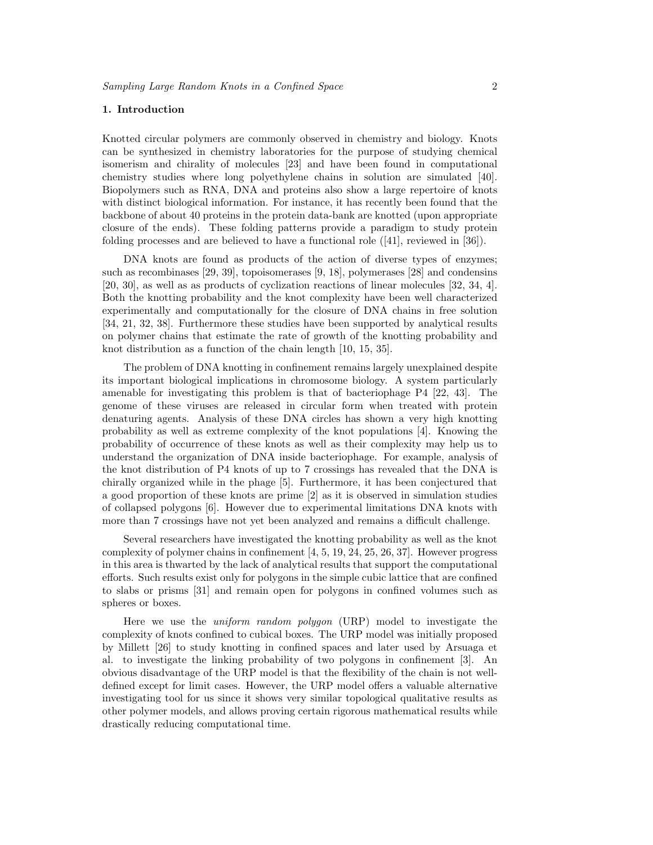#### 1. Introduction

Knotted circular polymers are commonly observed in chemistry and biology. Knots can be synthesized in chemistry laboratories for the purpose of studying chemical isomerism and chirality of molecules [23] and have been found in computational chemistry studies where long polyethylene chains in solution are simulated [40]. Biopolymers such as RNA, DNA and proteins also show a large repertoire of knots with distinct biological information. For instance, it has recently been found that the backbone of about 40 proteins in the protein data-bank are knotted (upon appropriate closure of the ends). These folding patterns provide a paradigm to study protein folding processes and are believed to have a functional role ([41], reviewed in [36]).

DNA knots are found as products of the action of diverse types of enzymes; such as recombinases [29, 39], topoisomerases [9, 18], polymerases [28] and condensins [20, 30], as well as as products of cyclization reactions of linear molecules [32, 34, 4]. Both the knotting probability and the knot complexity have been well characterized experimentally and computationally for the closure of DNA chains in free solution [34, 21, 32, 38]. Furthermore these studies have been supported by analytical results on polymer chains that estimate the rate of growth of the knotting probability and knot distribution as a function of the chain length [10, 15, 35].

The problem of DNA knotting in confinement remains largely unexplained despite its important biological implications in chromosome biology. A system particularly amenable for investigating this problem is that of bacteriophage P4 [22, 43]. The genome of these viruses are released in circular form when treated with protein denaturing agents. Analysis of these DNA circles has shown a very high knotting probability as well as extreme complexity of the knot populations [4]. Knowing the probability of occurrence of these knots as well as their complexity may help us to understand the organization of DNA inside bacteriophage. For example, analysis of the knot distribution of P4 knots of up to 7 crossings has revealed that the DNA is chirally organized while in the phage [5]. Furthermore, it has been conjectured that a good proportion of these knots are prime [2] as it is observed in simulation studies of collapsed polygons [6]. However due to experimental limitations DNA knots with more than 7 crossings have not yet been analyzed and remains a difficult challenge.

Several researchers have investigated the knotting probability as well as the knot complexity of polymer chains in confinement  $[4, 5, 19, 24, 25, 26, 37]$ . However progress in this area is thwarted by the lack of analytical results that support the computational efforts. Such results exist only for polygons in the simple cubic lattice that are confined to slabs or prisms [31] and remain open for polygons in confined volumes such as spheres or boxes.

Here we use the uniform random polygon (URP) model to investigate the complexity of knots confined to cubical boxes. The URP model was initially proposed by Millett [26] to study knotting in confined spaces and later used by Arsuaga et al. to investigate the linking probability of two polygons in confinement [3]. An obvious disadvantage of the URP model is that the flexibility of the chain is not welldefined except for limit cases. However, the URP model offers a valuable alternative investigating tool for us since it shows very similar topological qualitative results as other polymer models, and allows proving certain rigorous mathematical results while drastically reducing computational time.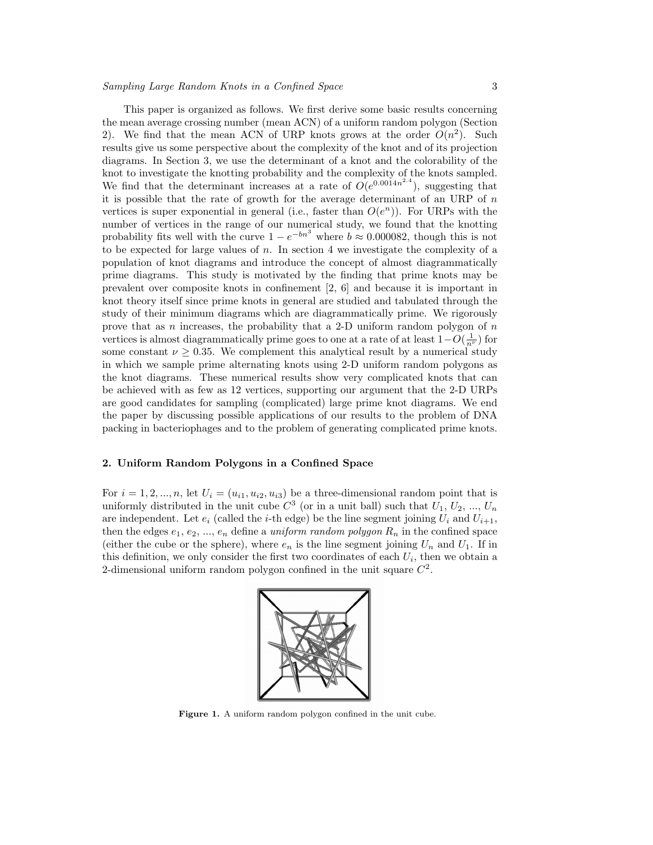This paper is organized as follows. We first derive some basic results concerning the mean average crossing number (mean ACN) of a uniform random polygon (Section 2). We find that the mean ACN of URP knots grows at the order  $O(n^2)$ . Such results give us some perspective about the complexity of the knot and of its projection diagrams. In Section 3, we use the determinant of a knot and the colorability of the knot to investigate the knotting probability and the complexity of the knots sampled. We find that the determinant increases at a rate of  $O(e^{0.0014n^2.4})$ , suggesting that it is possible that the rate of growth for the average determinant of an URP of  $n$ vertices is super exponential in general (i.e., faster than  $O(e^n)$ ). For URPs with the number of vertices in the range of our numerical study, we found that the knotting probability fits well with the curve  $1 - e^{-bn^3}$  where  $b \approx 0.000082$ , though this is not to be expected for large values of  $n$ . In section 4 we investigate the complexity of a population of knot diagrams and introduce the concept of almost diagrammatically prime diagrams. This study is motivated by the finding that prime knots may be prevalent over composite knots in confinement [2, 6] and because it is important in knot theory itself since prime knots in general are studied and tabulated through the study of their minimum diagrams which are diagrammatically prime. We rigorously prove that as n increases, the probability that a 2-D uniform random polygon of  $n$ vertices is almost diagrammatically prime goes to one at a rate of at least  $1-O(\frac{1}{n^{\nu}})$  for some constant  $\nu \geq 0.35$ . We complement this analytical result by a numerical study in which we sample prime alternating knots using 2-D uniform random polygons as the knot diagrams. These numerical results show very complicated knots that can be achieved with as few as 12 vertices, supporting our argument that the 2-D URPs are good candidates for sampling (complicated) large prime knot diagrams. We end the paper by discussing possible applications of our results to the problem of DNA packing in bacteriophages and to the problem of generating complicated prime knots.

# 2. Uniform Random Polygons in a Confined Space

For  $i = 1, 2, ..., n$ , let  $U_i = (u_{i1}, u_{i2}, u_{i3})$  be a three-dimensional random point that is uniformly distributed in the unit cube  $C^3$  (or in a unit ball) such that  $U_1, U_2, ..., U_n$ are independent. Let  $e_i$  (called the *i*-th edge) be the line segment joining  $U_i$  and  $U_{i+1}$ , then the edges  $e_1, e_2, ..., e_n$  define a uniform random polygon  $R_n$  in the confined space (either the cube or the sphere), where  $e_n$  is the line segment joining  $U_n$  and  $U_1$ . If in this definition, we only consider the first two coordinates of each  $U_i$ , then we obtain a 2-dimensional uniform random polygon confined in the unit square  $C^2$ .



Figure 1. A uniform random polygon confined in the unit cube.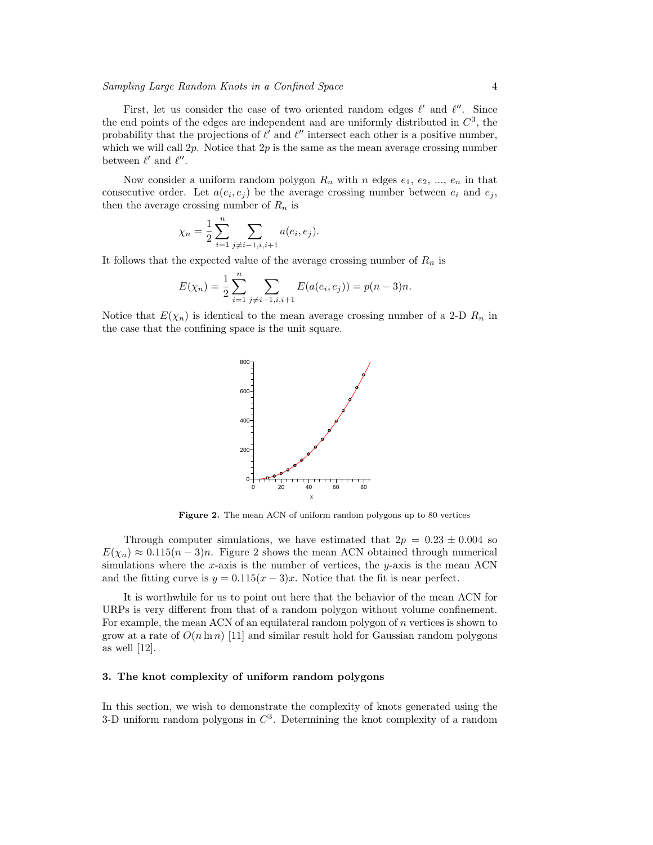First, let us consider the case of two oriented random edges  $\ell'$  and  $\ell''$ . Since the end points of the edges are independent and are uniformly distributed in  $C<sup>3</sup>$ , the probability that the projections of  $\ell'$  and  $\ell''$  intersect each other is a positive number, which we will call  $2p$ . Notice that  $2p$  is the same as the mean average crossing number between  $\ell'$  and  $\ell''$ .

Now consider a uniform random polygon  $R_n$  with n edges  $e_1, e_2, ..., e_n$  in that consecutive order. Let  $a(e_i, e_j)$  be the average crossing number between  $e_i$  and  $e_j$ , then the average crossing number of  $R_n$  is

$$
\chi_n = \frac{1}{2} \sum_{i=1}^n \sum_{j \neq i-1, i, i+1} a(e_i, e_j).
$$

It follows that the expected value of the average crossing number of  $R_n$  is

$$
E(\chi_n) = \frac{1}{2} \sum_{i=1}^n \sum_{j \neq i-1, i, i+1} E(a(e_i, e_j)) = p(n-3)n.
$$

Notice that  $E(\chi_n)$  is identical to the mean average crossing number of a 2-D  $R_n$  in the case that the confining space is the unit square.



Figure 2. The mean ACN of uniform random polygons up to 80 vertices

Through computer simulations, we have estimated that  $2p = 0.23 \pm 0.004$  so  $E(\chi_n) \approx 0.115(n-3)n$ . Figure 2 shows the mean ACN obtained through numerical simulations where the x-axis is the number of vertices, the y-axis is the mean ACN and the fitting curve is  $y = 0.115(x - 3)x$ . Notice that the fit is near perfect.

It is worthwhile for us to point out here that the behavior of the mean ACN for URPs is very different from that of a random polygon without volume confinement. For example, the mean ACN of an equilateral random polygon of n vertices is shown to grow at a rate of  $O(n \ln n)$  [11] and similar result hold for Gaussian random polygons as well [12].

## 3. The knot complexity of uniform random polygons

In this section, we wish to demonstrate the complexity of knots generated using the 3-D uniform random polygons in  $C^3$ . Determining the knot complexity of a random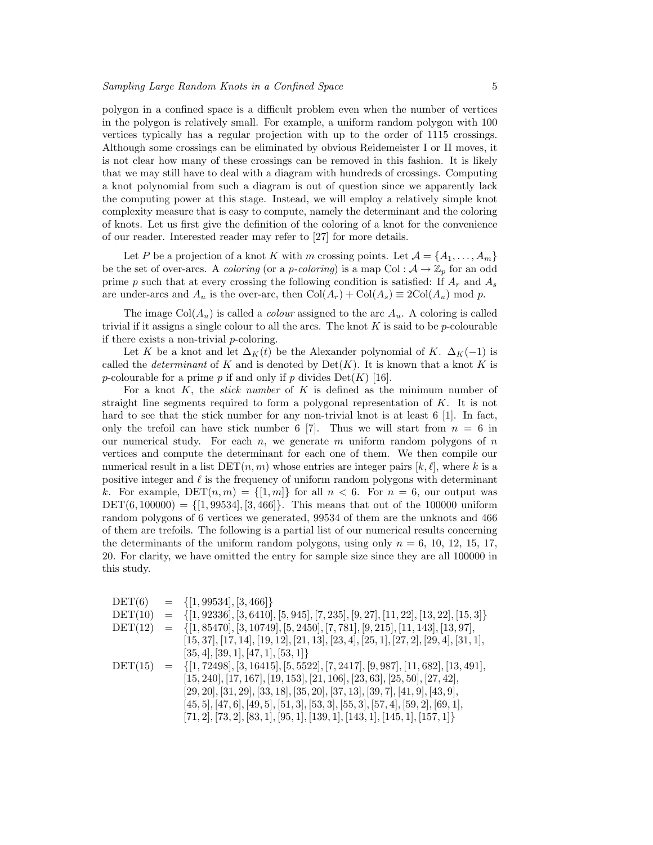polygon in a confined space is a difficult problem even when the number of vertices in the polygon is relatively small. For example, a uniform random polygon with 100 vertices typically has a regular projection with up to the order of 1115 crossings. Although some crossings can be eliminated by obvious Reidemeister I or II moves, it is not clear how many of these crossings can be removed in this fashion. It is likely that we may still have to deal with a diagram with hundreds of crossings. Computing a knot polynomial from such a diagram is out of question since we apparently lack the computing power at this stage. Instead, we will employ a relatively simple knot complexity measure that is easy to compute, namely the determinant and the coloring of knots. Let us first give the definition of the coloring of a knot for the convenience of our reader. Interested reader may refer to [27] for more details.

Let P be a projection of a knot K with m crossing points. Let  $\mathcal{A} = \{A_1, \ldots, A_m\}$ be the set of over-arcs. A *coloring* (or a *p-coloring*) is a map Col :  $A \rightarrow \mathbb{Z}_p$  for an odd prime p such that at every crossing the following condition is satisfied: If  $A_r$  and  $A_s$ are under-arcs and  $A_u$  is the over-arc, then  $Col(A_r) + Col(A_s) \equiv 2Col(A_u) \mod p$ .

The image  $Col(A_u)$  is called a *colour* assigned to the arc  $A_u$ . A coloring is called trivial if it assigns a single colour to all the arcs. The knot  $K$  is said to be p-colourable if there exists a non-trivial p-coloring.

Let K be a knot and let  $\Delta_K(t)$  be the Alexander polynomial of K.  $\Delta_K(-1)$  is called the *determinant* of K and is denoted by  $Det(K)$ . It is known that a knot K is p-colourable for a prime p if and only if p divides  $Det(K)$  [16].

For a knot K, the *stick number* of K is defined as the minimum number of straight line segments required to form a polygonal representation of  $K$ . It is not hard to see that the stick number for any non-trivial knot is at least 6 [1]. In fact, only the trefoil can have stick number 6 [7]. Thus we will start from  $n = 6$  in our numerical study. For each  $n$ , we generate m uniform random polygons of  $n$ vertices and compute the determinant for each one of them. We then compile our numerical result in a list  $DET(n, m)$  whose entries are integer pairs  $|k, \ell|$ , where k is a positive integer and  $\ell$  is the frequency of uniform random polygons with determinant k. For example,  $\text{DET}(n, m) = \{[1, m]\}\$ for all  $n < 6$ . For  $n = 6$ , our output was  $DEF(6, 100000) = \{ [1, 99534], [3, 466] \}.$  This means that out of the 100000 uniform random polygons of 6 vertices we generated, 99534 of them are the unknots and 466 of them are trefoils. The following is a partial list of our numerical results concerning the determinants of the uniform random polygons, using only  $n = 6, 10, 12, 15, 17$ , 20. For clarity, we have omitted the entry for sample size since they are all 100000 in this study.

| DET(6)  |     | $= \{ [1, 99534], [3, 466] \}$                                                         |
|---------|-----|----------------------------------------------------------------------------------------|
| DET(10) | $=$ | $\{[1, 92336], [3, 6410], [5, 945], [7, 235], [9, 27], [11, 22], [13, 22], [15, 3]\}$  |
| DET(12) |     | $= \{ [1, 85470], [3, 10749], [5, 2450], [7, 781], [9, 215], [11, 143], [13, 97],$     |
|         |     | $[15, 37], [17, 14], [19, 12], [21, 13], [23, 4], [25, 1], [27, 2], [29, 4], [31, 1],$ |
|         |     | [35, 4], [39, 1], [47, 1], [53, 1]                                                     |
| DET(15) | $=$ | $\{[1, 72498], [3, 16415], [5, 5522], [7, 2417], [9, 987], [11, 682], [13, 491],$      |
|         |     | $[15, 240], [17, 167], [19, 153], [21, 106], [23, 63], [25, 50], [27, 42],$            |
|         |     | $[29, 20], [31, 29], [33, 18], [35, 20], [37, 13], [39, 7], [41, 9], [43, 9],$         |
|         |     | $[45, 5], [47, 6], [49, 5], [51, 3], [53, 3], [55, 3], [57, 4], [59, 2], [69, 1],$     |
|         |     | $[71, 2], [73, 2], [83, 1], [95, 1], [139, 1], [143, 1], [145, 1], [157, 1] \}$        |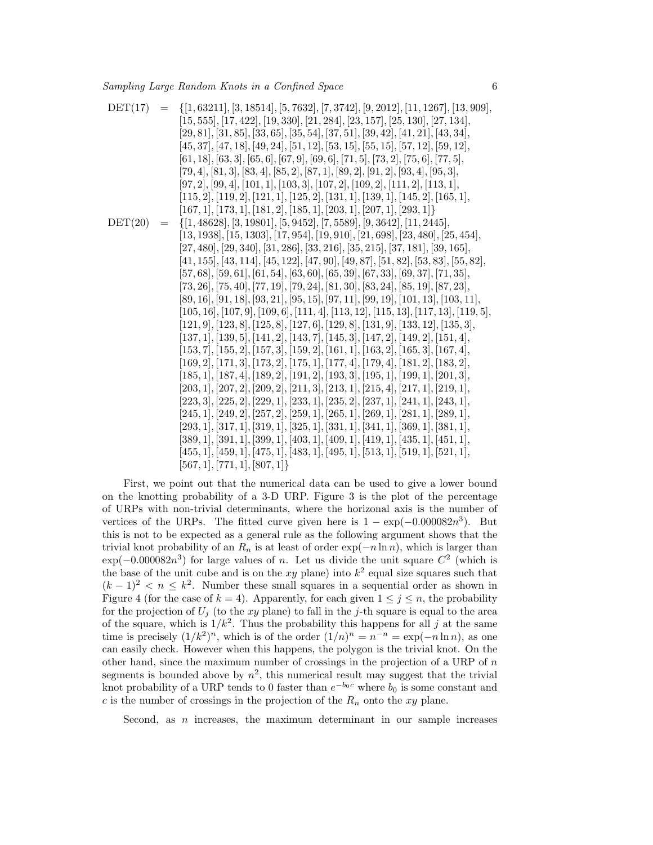$$
DET(17) = {1, 63211, [3, 18514], [5, 7632], [7, 3742], [9, 2012], [11, 1267], [13, 909], [15, 555], [17, 422], [19, 330], [21, 284], [23, 157], [25, 130], [27, 134], [29, 81], [31, 85], [33, 65], [35, 54], [37, 51], [39, 42], [41, 21], [43, 34], [45, 37], [47, 18], [49, 24], [51, 12], [53, 15], [55, 15], [57, 12], [59, 12], [61, 18], [63, 3], [65, 6], [67, 9], [67, 9], [70, 9], [70, 9], [71, 5], [79, 9], [70, 9], [71, 5], [79, 9], [91, 4], [81, 3], [83, 4], [85, 2], [87, 1], [89, 2], [91, 2], [93, 4], [95, 3], [97, 2], [99, 4], [101, 1], [103, 3], [107, 2], [109, 2], [111, 2], [113, 1], [115, 2], [119, 2], [121, 1], [125, 2], [131, 1], [139, 1], [145, 2], [165, 1], [167, 1], [173, 1], [181, 2], [185, 1], [203, 1], [207, 1], [293, 1]]\n
$$
\n
$$
DET(20) = {1, 48628}, [3, 19801], [5, 9452], [7, 5589], [9, 3642], [11, 2445], [13, 1938], [15, 1303], [17, 954], [19, 910], [21, 698], [23, 480], [25, 454], [13, 1938], [15, 1303], [17,
$$

First, we point out that the numerical data can be used to give a lower bound on the knotting probability of a 3-D URP. Figure 3 is the plot of the percentage of URPs with non-trivial determinants, where the horizonal axis is the number of vertices of the URPs. The fitted curve given here is  $1 - \exp(-0.000082n^3)$ . But this is not to be expected as a general rule as the following argument shows that the trivial knot probability of an  $R_n$  is at least of order  $\exp(-n \ln n)$ , which is larger than  $\exp(-0.000082n^3)$  for large values of n. Let us divide the unit square  $C^2$  (which is the base of the unit cube and is on the xy plane) into  $k^2$  equal size squares such that  $(k-1)^2 < n \leq k^2$ . Number these small squares in a sequential order as shown in Figure 4 (for the case of  $k = 4$ ). Apparently, for each given  $1 \le j \le n$ , the probability for the projection of  $U_i$  (to the xy plane) to fall in the j-th square is equal to the area of the square, which is  $1/k^2$ . Thus the probability this happens for all j at the same time is precisely  $(1/k^2)^n$ , which is of the order  $(1/n)^n = n^{-n} = \exp(-n \ln n)$ , as one can easily check. However when this happens, the polygon is the trivial knot. On the other hand, since the maximum number of crossings in the projection of a URP of  $n$ segments is bounded above by  $n^2$ , this numerical result may suggest that the trivial knot probability of a URP tends to 0 faster than  $e^{-b_0c}$  where  $b_0$  is some constant and c is the number of crossings in the projection of the  $R_n$  onto the xy plane.

Second, as  $n$  increases, the maximum determinant in our sample increases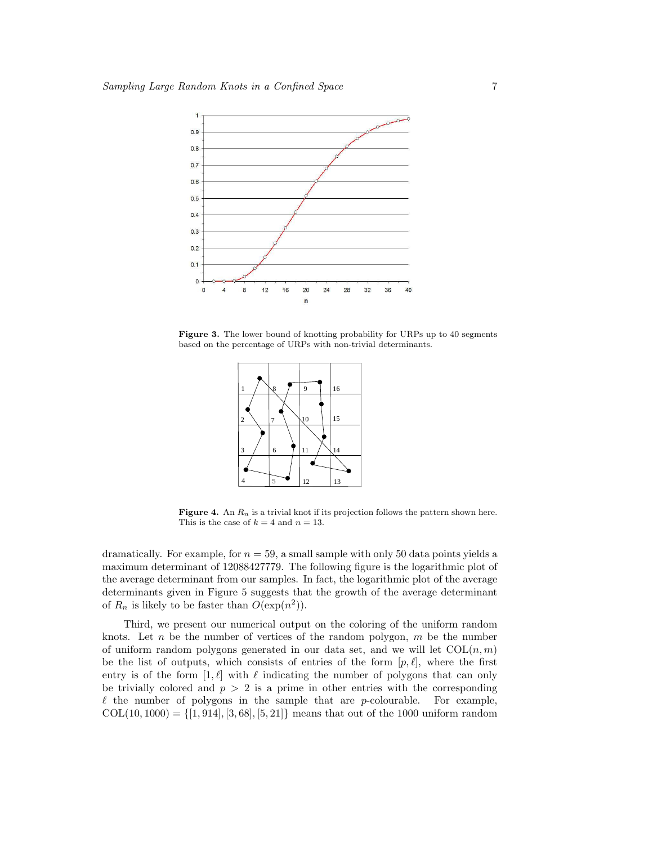

Figure 3. The lower bound of knotting probability for URPs up to 40 segments based on the percentage of URPs with non-trivial determinants.



**Figure 4.** An  $R_n$  is a trivial knot if its projection follows the pattern shown here. This is the case of  $k = 4$  and  $n = 13$ .

dramatically. For example, for  $n = 59$ , a small sample with only 50 data points yields a maximum determinant of 12088427779. The following figure is the logarithmic plot of the average determinant from our samples. In fact, the logarithmic plot of the average determinants given in Figure 5 suggests that the growth of the average determinant of  $R_n$  is likely to be faster than  $O(\exp(n^2))$ .

Third, we present our numerical output on the coloring of the uniform random knots. Let n be the number of vertices of the random polygon,  $m$  be the number of uniform random polygons generated in our data set, and we will let  $COL(n, m)$ be the list of outputs, which consists of entries of the form  $[p, \ell]$ , where the first entry is of the form  $[1, \ell]$  with  $\ell$  indicating the number of polygons that can only be trivially colored and  $p > 2$  is a prime in other entries with the corresponding  $\ell$  the number of polygons in the sample that are p-colourable. For example,  $COL(10, 1000) = \{[1, 914], [3, 68], [5, 21]\}$  means that out of the 1000 uniform random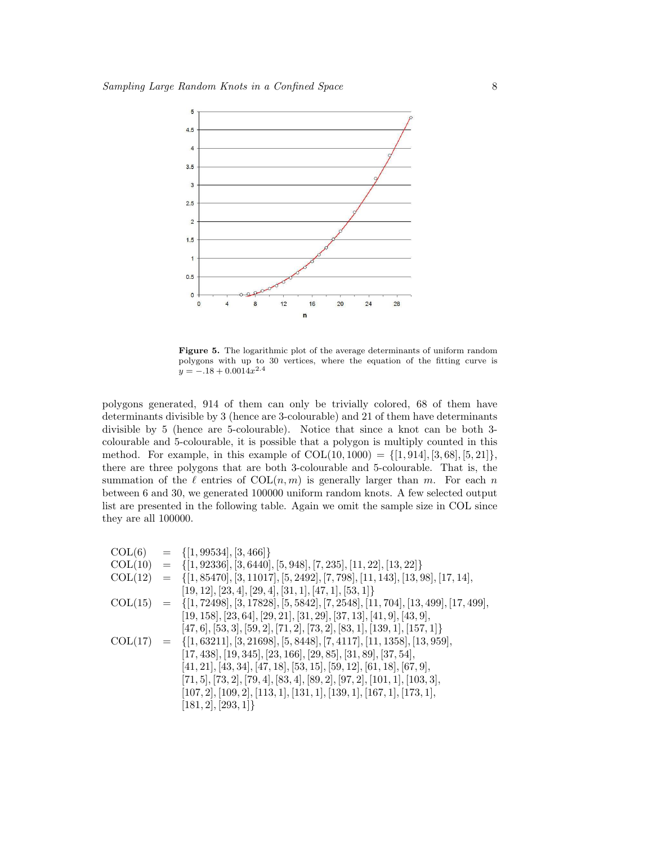

Figure 5. The logarithmic plot of the average determinants of uniform random polygons with up to 30 vertices, where the equation of the fitting curve is  $y = -.18 + 0.0014x^{2.4}$ 

polygons generated, 914 of them can only be trivially colored, 68 of them have determinants divisible by 3 (hence are 3-colourable) and 21 of them have determinants divisible by 5 (hence are 5-colourable). Notice that since a knot can be both 3 colourable and 5-colourable, it is possible that a polygon is multiply counted in this method. For example, in this example of  $COL(10, 1000) = \{[1, 914], [3, 68], [5, 21]\},$ there are three polygons that are both 3-colourable and 5-colourable. That is, the summation of the  $\ell$  entries of  $COL(n, m)$  is generally larger than m. For each n between 6 and 30, we generated 100000 uniform random knots. A few selected output list are presented in the following table. Again we omit the sample size in COL since they are all 100000.

|         | $COL(6) = \{[1, 99534], [3, 466]\}$                                                           |
|---------|-----------------------------------------------------------------------------------------------|
| COL(10) | $= \{ [1, 92336], [3, 6440], [5, 948], [7, 235], [11, 22], [13, 22] \}$                       |
| COL(12) | $= \{ [1, 85470], [3, 11017], [5, 2492], [7, 798], [11, 143], [13, 98], [17, 14],$            |
|         | $[19, 12], [23, 4], [29, 4], [31, 1], [47, 1], [53, 1] \}$                                    |
|         | $COL(15) = \{ [1, 72498], [3, 17828], [5, 5842], [7, 2548], [11, 704], [13, 499], [17, 499],$ |
|         | $[19, 158], [23, 64], [29, 21], [31, 29], [37, 13], [41, 9], [43, 9],$                        |
|         | $[47, 6], [53, 3], [59, 2], [71, 2], [73, 2], [83, 1], [139, 1], [157, 1] \}$                 |
|         | $COL(17) = \{ [1, 63211], [3, 21698], [5, 8448], [7, 4117], [11, 1358], [13, 959],$           |
|         | $[17, 438], [19, 345], [23, 166], [29, 85], [31, 89], [37, 54],$                              |
|         | $[41, 21], [43, 34], [47, 18], [53, 15], [59, 12], [61, 18], [67, 9],$                        |
|         | $[71, 5], [73, 2], [79, 4], [83, 4], [89, 2], [97, 2], [101, 1], [103, 3],$                   |
|         | $[107, 2]$ , $[109, 2]$ , $[113, 1]$ , $[131, 1]$ , $[139, 1]$ , $[167, 1]$ , $[173, 1]$ ,    |
|         | [181, 2], [293, 1]                                                                            |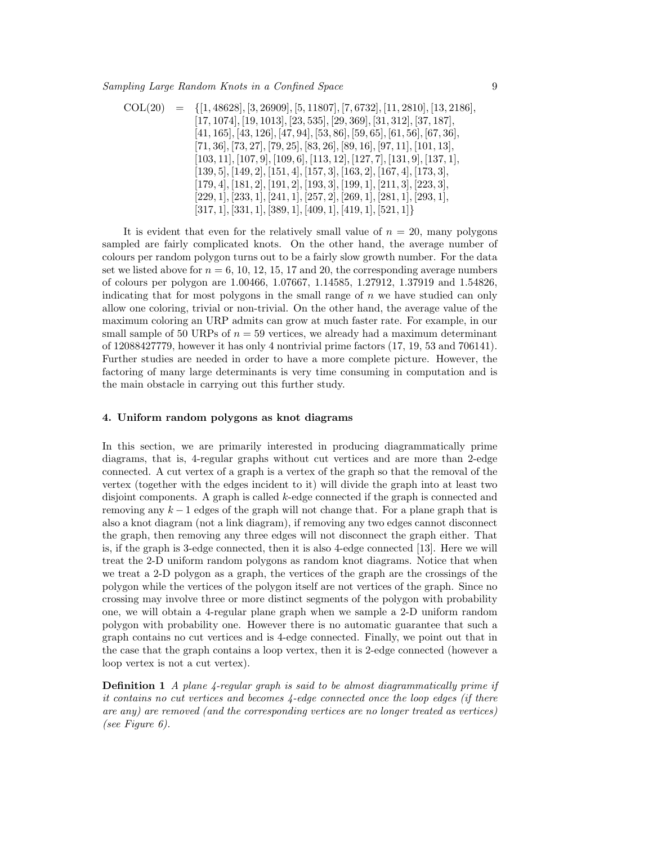$$
COL(20) = \{[1,48628], [3,26909], [5,11807], [7,6732], [11,2810], [13,2186],\n[17,1074], [19,1013], [23,535], [29,369], [31,312], [37,187],\n[41,165], [43,126], [47,94], [53,86], [59,65], [61,56], [67,36],\n[71,36], [73,27], [79,25], [83,26], [89,16], [97,11], [101,13],\n[103,11], [107,9], [109,6], [113,12], [127,7], [131,9], [137,1],\n[139,5], [149,2], [151,4], [157,3], [163,2], [167,4], [173,3],\n[179,4], [181,2], [191,2], [193,3], [199,1], [211,3], [223,3],\n[229,1], [233,1], [241,1], [257,2], [269,1], [281,1], [293,1],\n[317,1], [331,1], [389,1], [409,1], [419,1], [521,1]\}
$$

It is evident that even for the relatively small value of  $n = 20$ , many polygons sampled are fairly complicated knots. On the other hand, the average number of colours per random polygon turns out to be a fairly slow growth number. For the data set we listed above for  $n = 6, 10, 12, 15, 17$  and 20, the corresponding average numbers of colours per polygon are 1.00466, 1.07667, 1.14585, 1.27912, 1.37919 and 1.54826, indicating that for most polygons in the small range of  $n$  we have studied can only allow one coloring, trivial or non-trivial. On the other hand, the average value of the maximum coloring an URP admits can grow at much faster rate. For example, in our small sample of 50 URPs of  $n = 59$  vertices, we already had a maximum determinant of 12088427779, however it has only 4 nontrivial prime factors (17, 19, 53 and 706141). Further studies are needed in order to have a more complete picture. However, the factoring of many large determinants is very time consuming in computation and is the main obstacle in carrying out this further study.

#### 4. Uniform random polygons as knot diagrams

In this section, we are primarily interested in producing diagrammatically prime diagrams, that is, 4-regular graphs without cut vertices and are more than 2-edge connected. A cut vertex of a graph is a vertex of the graph so that the removal of the vertex (together with the edges incident to it) will divide the graph into at least two disjoint components. A graph is called k-edge connected if the graph is connected and removing any  $k-1$  edges of the graph will not change that. For a plane graph that is also a knot diagram (not a link diagram), if removing any two edges cannot disconnect the graph, then removing any three edges will not disconnect the graph either. That is, if the graph is 3-edge connected, then it is also 4-edge connected [13]. Here we will treat the 2-D uniform random polygons as random knot diagrams. Notice that when we treat a 2-D polygon as a graph, the vertices of the graph are the crossings of the polygon while the vertices of the polygon itself are not vertices of the graph. Since no crossing may involve three or more distinct segments of the polygon with probability one, we will obtain a 4-regular plane graph when we sample a 2-D uniform random polygon with probability one. However there is no automatic guarantee that such a graph contains no cut vertices and is 4-edge connected. Finally, we point out that in the case that the graph contains a loop vertex, then it is 2-edge connected (however a loop vertex is not a cut vertex).

**Definition 1** A plane 4-regular graph is said to be almost diagrammatically prime if it contains no cut vertices and becomes 4-edge connected once the loop edges (if there are any) are removed (and the corresponding vertices are no longer treated as vertices) (see Figure 6).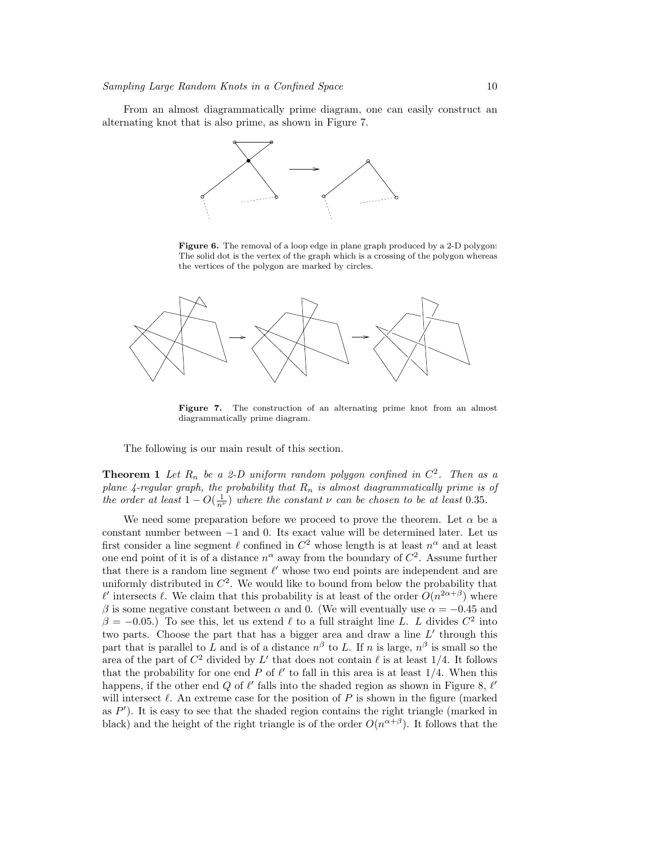From an almost diagrammatically prime diagram, one can easily construct an alternating knot that is also prime, as shown in Figure 7.



Figure 6. The removal of a loop edge in plane graph produced by a 2-D polygon: The solid dot is the vertex of the graph which is a crossing of the polygon whereas the vertices of the polygon are marked by circles.



Figure 7. The construction of an alternating prime knot from an almost diagrammatically prime diagram.

The following is our main result of this section.

**Theorem 1** Let  $R_n$  be a 2-D uniform random polygon confined in  $C^2$ . Then as a plane 4-regular graph, the probability that  $R_n$  is almost diagrammatically prime is of the order at least  $1 - O(\frac{1}{n^{\nu}})$  where the constant  $\nu$  can be chosen to be at least 0.35.

We need some preparation before we proceed to prove the theorem. Let  $\alpha$  be a constant number between −1 and 0. Its exact value will be determined later. Let us first consider a line segment  $\ell$  confined in  $C^2$  whose length is at least  $n^{\alpha}$  and at least one end point of it is of a distance  $n^{\alpha}$  away from the boundary of  $C^2$ . Assume further that there is a random line segment  $\ell'$  whose two end points are independent and are uniformly distributed in  $C^2$ . We would like to bound from below the probability that  $\ell'$  intersects  $\ell$ . We claim that this probability is at least of the order  $O(n^{2\alpha+\beta})$  where β is some negative constant between  $\alpha$  and 0. (We will eventually use  $\alpha = -0.45$  and  $\beta = -0.05$ .) To see this, let us extend  $\ell$  to a full straight line L. L divides  $C^2$  into two parts. Choose the part that has a bigger area and draw a line  $L'$  through this part that is parallel to L and is of a distance  $n^{\beta}$  to L. If n is large,  $n^{\beta}$  is small so the area of the part of  $C^2$  divided by L' that does not contain  $\ell$  is at least 1/4. It follows that the probability for one end P of  $\ell'$  to fall in this area is at least  $1/4$ . When this happens, if the other end Q of  $\ell'$  falls into the shaded region as shown in Figure 8,  $\ell'$ will intersect  $\ell$ . An extreme case for the position of P is shown in the figure (marked as  $P'$ ). It is easy to see that the shaded region contains the right triangle (marked in black) and the height of the right triangle is of the order  $O(n^{\alpha+\beta})$ . It follows that the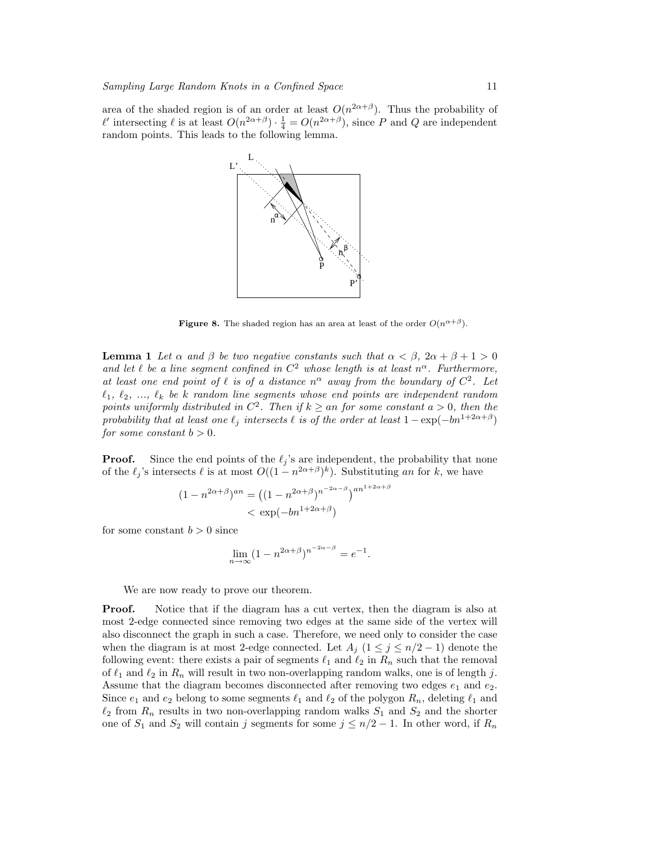area of the shaded region is of an order at least  $O(n^{2\alpha+\beta})$ . Thus the probability of  $\ell'$  intersecting  $\ell$  is at least  $O(n^{2\alpha+\beta}) \cdot \frac{1}{4} = O(n^{2\alpha+\beta})$ , since P and Q are independent random points. This leads to the following lemma.



**Figure 8.** The shaded region has an area at least of the order  $O(n^{\alpha+\beta})$ .

**Lemma 1** Let  $\alpha$  and  $\beta$  be two negative constants such that  $\alpha < \beta$ ,  $2\alpha + \beta + 1 > 0$ and let  $\ell$  be a line segment confined in  $C^2$  whose length is at least  $n^{\alpha}$ . Furthermore, at least one end point of  $\ell$  is of a distance  $n^{\alpha}$  away from the boundary of  $C^2$ . Let  $\ell_1, \ell_2, \ldots, \ell_k$  be k random line segments whose end points are independent random points uniformly distributed in  $C^2$ . Then if  $k \geq an$  for some constant  $a > 0$ , then the probability that at least one  $\ell_j$  intersects  $\ell$  is of the order at least  $1 - \exp(-bn^{1+2\alpha+\beta})$ for some constant  $b > 0$ .

**Proof.** Since the end points of the  $\ell_j$ 's are independent, the probability that none of the  $\ell_j$ 's intersects  $\ell$  is at most  $O((1 - n^{2\alpha + \beta})^k)$ . Substituting an for k, we have

$$
(1 - n^{2\alpha + \beta})^{an} = ((1 - n^{2\alpha + \beta})^{n^{-2\alpha - \beta}})^{an^{1 + 2\alpha + \beta}}
$$

$$
< \exp(-bn^{1 + 2\alpha + \beta})
$$

for some constant  $b > 0$  since

$$
\lim_{n \to \infty} (1 - n^{2\alpha + \beta})^{n^{-2\alpha - \beta}} = e^{-1}.
$$

We are now ready to prove our theorem.

Proof. Notice that if the diagram has a cut vertex, then the diagram is also at most 2-edge connected since removing two edges at the same side of the vertex will also disconnect the graph in such a case. Therefore, we need only to consider the case when the diagram is at most 2-edge connected. Let  $A_j$  ( $1 \leq j \leq n/2 - 1$ ) denote the following event: there exists a pair of segments  $\ell_1$  and  $\ell_2$  in  $R_n$  such that the removal of  $\ell_1$  and  $\ell_2$  in  $R_n$  will result in two non-overlapping random walks, one is of length j. Assume that the diagram becomes disconnected after removing two edges  $e_1$  and  $e_2$ . Since  $e_1$  and  $e_2$  belong to some segments  $\ell_1$  and  $\ell_2$  of the polygon  $R_n$ , deleting  $\ell_1$  and  $\ell_2$  from  $R_n$  results in two non-overlapping random walks  $S_1$  and  $S_2$  and the shorter one of  $S_1$  and  $S_2$  will contain j segments for some  $j \leq n/2 - 1$ . In other word, if  $R_n$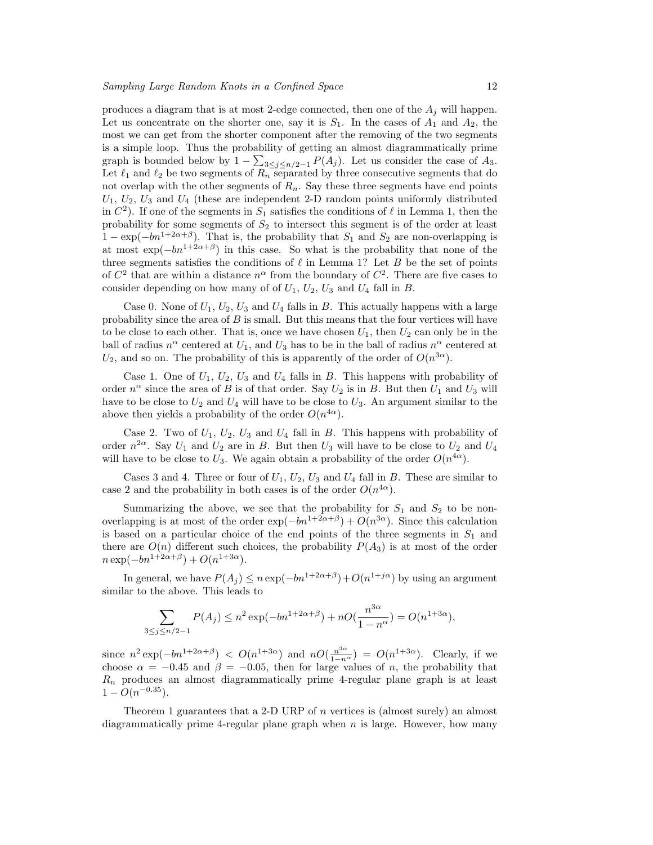produces a diagram that is at most 2-edge connected, then one of the  $A_j$  will happen. Let us concentrate on the shorter one, say it is  $S_1$ . In the cases of  $A_1$  and  $A_2$ , the most we can get from the shorter component after the removing of the two segments is a simple loop. Thus the probability of getting an almost diagrammatically prime P graph is bounded below by  $1 - \sum_{3 \leq j \leq n/2-1} P(A_j)$ . Let us consider the case of  $A_3$ . Let  $\ell_1$  and  $\ell_2$  be two segments of  $R_n$  separated by three consecutive segments that do not overlap with the other segments of  $R_n$ . Say these three segments have end points  $U_1, U_2, U_3$  and  $U_4$  (these are independent 2-D random points uniformly distributed in  $C<sup>2</sup>$ ). If one of the segments in  $S<sub>1</sub>$  satisfies the conditions of  $\ell$  in Lemma 1, then the probability for some segments of  $S_2$  to intersect this segment is of the order at least  $1 - \exp(-bn^{1+2\alpha+\beta})$ . That is, the probability that  $S_1$  and  $S_2$  are non-overlapping is at most  $\exp(-bn^{1+2\alpha+\beta})$  in this case. So what is the probability that none of the three segments satisfies the conditions of  $\ell$  in Lemma 1? Let B be the set of points of  $C^2$  that are within a distance  $n^{\alpha}$  from the boundary of  $C^2$ . There are five cases to consider depending on how many of of  $U_1$ ,  $U_2$ ,  $U_3$  and  $U_4$  fall in B.

Case 0. None of  $U_1, U_2, U_3$  and  $U_4$  falls in B. This actually happens with a large probability since the area of  $B$  is small. But this means that the four vertices will have to be close to each other. That is, once we have chosen  $U_1$ , then  $U_2$  can only be in the ball of radius  $n^{\alpha}$  centered at  $U_1$ , and  $U_3$  has to be in the ball of radius  $n^{\alpha}$  centered at  $U_2$ , and so on. The probability of this is apparently of the order of  $O(n^{3\alpha})$ .

Case 1. One of  $U_1$ ,  $U_2$ ,  $U_3$  and  $U_4$  falls in  $B$ . This happens with probability of order  $n^{\alpha}$  since the area of B is of that order. Say  $U_2$  is in B. But then  $U_1$  and  $U_3$  will have to be close to  $U_2$  and  $U_4$  will have to be close to  $U_3$ . An argument similar to the above then yields a probability of the order  $O(n^{4\alpha})$ .

Case 2. Two of  $U_1$ ,  $U_2$ ,  $U_3$  and  $U_4$  fall in B. This happens with probability of order  $n^{2\alpha}$ . Say  $U_1$  and  $U_2$  are in B. But then  $U_3$  will have to be close to  $U_2$  and  $U_4$ will have to be close to  $U_3$ . We again obtain a probability of the order  $O(n^{4\alpha})$ .

Cases 3 and 4. Three or four of  $U_1$ ,  $U_2$ ,  $U_3$  and  $U_4$  fall in B. These are similar to case 2 and the probability in both cases is of the order  $O(n^{4\alpha})$ .

Summarizing the above, we see that the probability for  $S_1$  and  $S_2$  to be nonoverlapping is at most of the order  $\exp(-bn^{1+2\alpha+\beta}) + O(n^{3\alpha})$ . Since this calculation is based on a particular choice of the end points of the three segments in  $S_1$  and there are  $O(n)$  different such choices, the probability  $P(A_3)$  is at most of the order  $n \exp(-bn^{1+2\alpha+\beta}) + O(n^{1+3\alpha}).$ 

In general, we have  $P(A_j) \le n \exp(-bn^{1+2\alpha+\beta}) + O(n^{1+j\alpha})$  by using an argument similar to the above. This leads to

$$
\sum_{3 \le j \le n/2 - 1} P(A_j) \le n^2 \exp(-bn^{1 + 2\alpha + \beta}) + nO(\frac{n^{3\alpha}}{1 - n^{\alpha}}) = O(n^{1 + 3\alpha}),
$$

since  $n^2 \exp(-bn^{1+2\alpha+\beta})$  <  $O(n^{1+3\alpha})$  and  $nO(\frac{n^{3\alpha}}{1-n^{\alpha}}) = O(n^{1+3\alpha})$ . Clearly, if we choose  $\alpha = -0.45$  and  $\beta = -0.05$ , then for large values of n, the probability that  $R_n$  produces an almost diagrammatically prime 4-regular plane graph is at least  $1 - O(n^{-0.35}).$ 

Theorem 1 guarantees that a 2-D URP of  $n$  vertices is (almost surely) an almost diagrammatically prime 4-regular plane graph when  $n$  is large. However, how many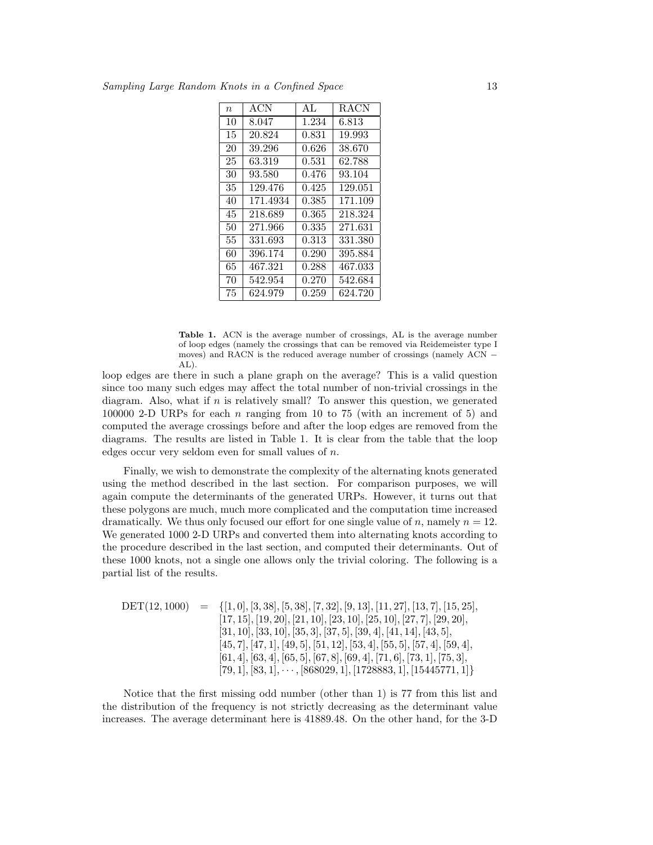| $\eta$ | ACN      | AI <sub>1</sub> | <b>RACN</b> |
|--------|----------|-----------------|-------------|
| 10     | 8.047    | 1.234           | 6.813       |
| 15     | 20.824   | 0.831           | 19.993      |
| 20     | 39.296   | 0.626           | 38.670      |
| 25     | 63.319   | 0.531           | 62.788      |
| 30     | 93.580   | 0.476           | 93.104      |
| 35     | 129.476  | 0.425           | 129.051     |
| 40     | 171.4934 | 0.385           | 171.109     |
| 45     | 218.689  | 0.365           | 218.324     |
| 50     | 271.966  | 0.335           | 271.631     |
| 55     | 331.693  | 0.313           | 331.380     |
| 60     | 396.174  | 0.290           | 395.884     |
| 65     | 467.321  | 0.288           | 467.033     |
| 70     | 542.954  | 0.270           | 542.684     |
| 75     | 624.979  | 0.259           | 624.720     |

Table 1. ACN is the average number of crossings, AL is the average number of loop edges (namely the crossings that can be removed via Reidemeister type I moves) and RACN is the reduced average number of crossings (namely ACN − AL).

loop edges are there in such a plane graph on the average? This is a valid question since too many such edges may affect the total number of non-trivial crossings in the diagram. Also, what if  $n$  is relatively small? To answer this question, we generated 100000 2-D URPs for each  $n$  ranging from 10 to 75 (with an increment of 5) and computed the average crossings before and after the loop edges are removed from the diagrams. The results are listed in Table 1. It is clear from the table that the loop edges occur very seldom even for small values of  $n$ .

Finally, we wish to demonstrate the complexity of the alternating knots generated using the method described in the last section. For comparison purposes, we will again compute the determinants of the generated URPs. However, it turns out that these polygons are much, much more complicated and the computation time increased dramatically. We thus only focused our effort for one single value of  $n$ , namely  $n = 12$ . We generated 1000 2-D URPs and converted them into alternating knots according to the procedure described in the last section, and computed their determinants. Out of these 1000 knots, not a single one allows only the trivial coloring. The following is a partial list of the results.

$$
DET(12, 1000) = \{[1, 0], [3, 38], [5, 38], [7, 32], [9, 13], [11, 27], [13, 7], [15, 25], [17, 15], [19, 20], [21, 10], [23, 10], [25, 10], [27, 7], [29, 20], [31, 10], [33, 10], [35, 3], [37, 5], [39, 4], [41, 14], [43, 5], [45, 7], [47, 1], [49, 5], [51, 12], [53, 4], [55, 5], [57, 4], [59, 4], [61, 4], [63, 4], [65, 5], [67, 8], [69, 4], [71, 6], [73, 1], [75, 3], [79, 1], [83, 1], \dots, [868029, 1], [1728883, 1], [15445771, 1]\}
$$

Notice that the first missing odd number (other than 1) is 77 from this list and the distribution of the frequency is not strictly decreasing as the determinant value increases. The average determinant here is 41889.48. On the other hand, for the 3-D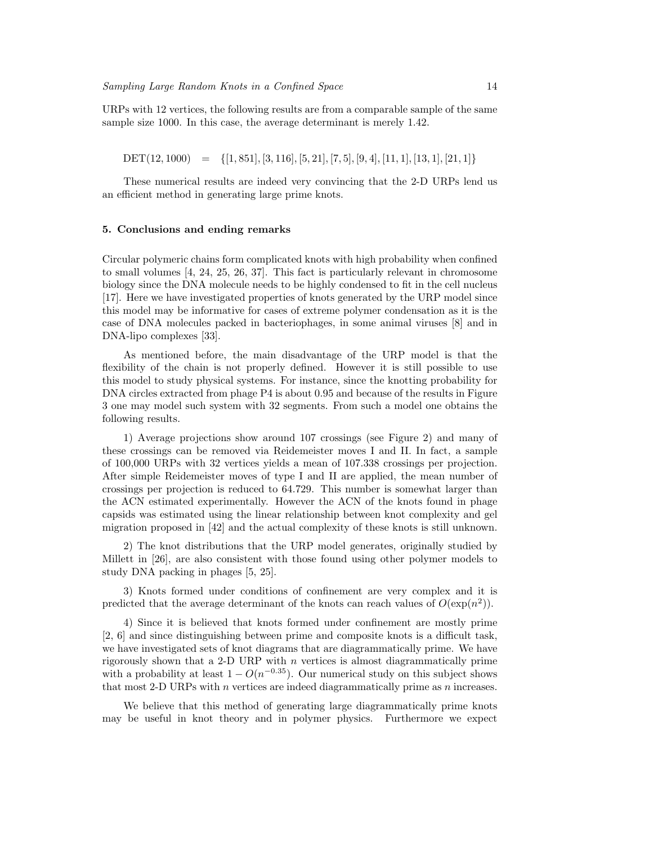URPs with 12 vertices, the following results are from a comparable sample of the same sample size 1000. In this case, the average determinant is merely 1.42.

 $DET(12, 1000) = \{[1, 851], [3, 116], [5, 21], [7, 5], [9, 4], [11, 1], [13, 1], [21, 1]\}$ 

These numerical results are indeed very convincing that the 2-D URPs lend us an efficient method in generating large prime knots.

#### 5. Conclusions and ending remarks

Circular polymeric chains form complicated knots with high probability when confined to small volumes [4, 24, 25, 26, 37]. This fact is particularly relevant in chromosome biology since the DNA molecule needs to be highly condensed to fit in the cell nucleus [17]. Here we have investigated properties of knots generated by the URP model since this model may be informative for cases of extreme polymer condensation as it is the case of DNA molecules packed in bacteriophages, in some animal viruses [8] and in DNA-lipo complexes [33].

As mentioned before, the main disadvantage of the URP model is that the flexibility of the chain is not properly defined. However it is still possible to use this model to study physical systems. For instance, since the knotting probability for DNA circles extracted from phage P4 is about 0.95 and because of the results in Figure 3 one may model such system with 32 segments. From such a model one obtains the following results.

1) Average projections show around 107 crossings (see Figure 2) and many of these crossings can be removed via Reidemeister moves I and II. In fact, a sample of 100,000 URPs with 32 vertices yields a mean of 107.338 crossings per projection. After simple Reidemeister moves of type I and II are applied, the mean number of crossings per projection is reduced to 64.729. This number is somewhat larger than the ACN estimated experimentally. However the ACN of the knots found in phage capsids was estimated using the linear relationship between knot complexity and gel migration proposed in [42] and the actual complexity of these knots is still unknown.

2) The knot distributions that the URP model generates, originally studied by Millett in [26], are also consistent with those found using other polymer models to study DNA packing in phages [5, 25].

3) Knots formed under conditions of confinement are very complex and it is predicted that the average determinant of the knots can reach values of  $O(\exp(n^2))$ .

4) Since it is believed that knots formed under confinement are mostly prime [2, 6] and since distinguishing between prime and composite knots is a difficult task, we have investigated sets of knot diagrams that are diagrammatically prime. We have rigorously shown that a 2-D URP with  $n$  vertices is almost diagrammatically prime with a probability at least  $1 - O(n^{-0.35})$ . Our numerical study on this subject shows that most 2-D URPs with  $n$  vertices are indeed diagrammatically prime as  $n$  increases.

We believe that this method of generating large diagrammatically prime knots may be useful in knot theory and in polymer physics. Furthermore we expect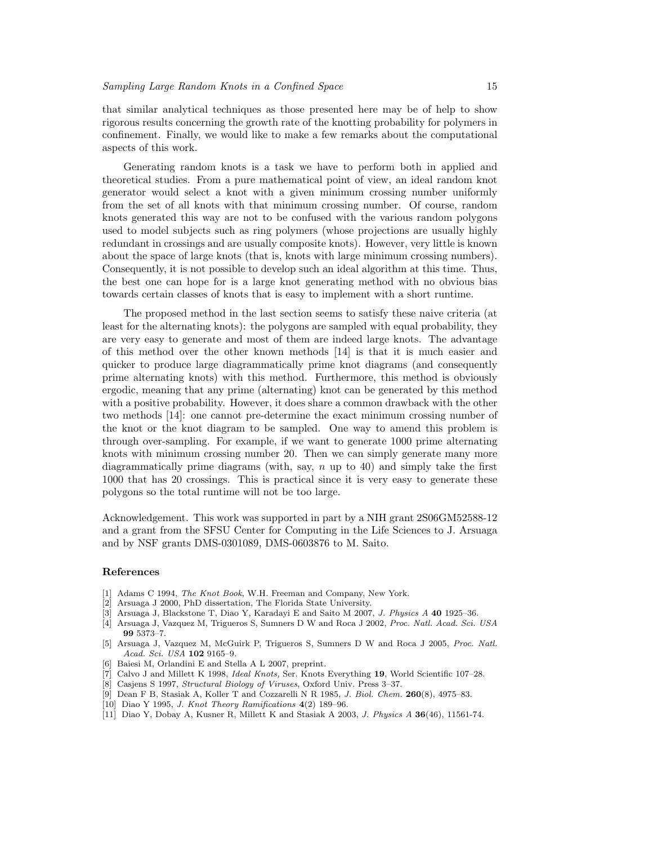that similar analytical techniques as those presented here may be of help to show rigorous results concerning the growth rate of the knotting probability for polymers in confinement. Finally, we would like to make a few remarks about the computational aspects of this work.

Generating random knots is a task we have to perform both in applied and theoretical studies. From a pure mathematical point of view, an ideal random knot generator would select a knot with a given minimum crossing number uniformly from the set of all knots with that minimum crossing number. Of course, random knots generated this way are not to be confused with the various random polygons used to model subjects such as ring polymers (whose projections are usually highly redundant in crossings and are usually composite knots). However, very little is known about the space of large knots (that is, knots with large minimum crossing numbers). Consequently, it is not possible to develop such an ideal algorithm at this time. Thus, the best one can hope for is a large knot generating method with no obvious bias towards certain classes of knots that is easy to implement with a short runtime.

The proposed method in the last section seems to satisfy these naive criteria (at least for the alternating knots): the polygons are sampled with equal probability, they are very easy to generate and most of them are indeed large knots. The advantage of this method over the other known methods [14] is that it is much easier and quicker to produce large diagrammatically prime knot diagrams (and consequently prime alternating knots) with this method. Furthermore, this method is obviously ergodic, meaning that any prime (alternating) knot can be generated by this method with a positive probability. However, it does share a common drawback with the other two methods [14]: one cannot pre-determine the exact minimum crossing number of the knot or the knot diagram to be sampled. One way to amend this problem is through over-sampling. For example, if we want to generate 1000 prime alternating knots with minimum crossing number 20. Then we can simply generate many more diagrammatically prime diagrams (with, say, n up to 40) and simply take the first 1000 that has 20 crossings. This is practical since it is very easy to generate these polygons so the total runtime will not be too large.

Acknowledgement. This work was supported in part by a NIH grant 2S06GM52588-12 and a grant from the SFSU Center for Computing in the Life Sciences to J. Arsuaga and by NSF grants DMS-0301089, DMS-0603876 to M. Saito.

## References

- [1] Adams C 1994, The Knot Book, W.H. Freeman and Company, New York.
- [2] Arsuaga J 2000, PhD dissertation, The Florida State University.
- [3] Arsuaga J, Blackstone T, Diao Y, Karadayi E and Saito M 2007, J. Physics A 40 1925–36.
- [4] Arsuaga J, Vazquez M, Trigueros S, Sumners D W and Roca J 2002, Proc. Natl. Acad. Sci. USA 99 5373–7.
- [5] Arsuaga J, Vazquez M, McGuirk P, Trigueros S, Sumners D W and Roca J 2005, Proc. Natl. Acad. Sci. USA 102 9165–9.
- [6] Baiesi M, Orlandini E and Stella A L 2007, preprint.
- [7] Calvo J and Millett K 1998, *Ideal Knots*, Ser. Knots Everything 19, World Scientific 107–28.
- [8] Casjens S 1997, Structural Biology of Viruses, Oxford Univ. Press 3–37.
- [9] Dean F B, Stasiak A, Koller T and Cozzarelli N R 1985, J. Biol. Chem. 260(8), 4975–83.
- [10] Diao Y 1995, J. Knot Theory Ramifications 4(2) 189–96.
- [11] Diao Y, Dobay A, Kusner R, Millett K and Stasiak A 2003, J. Physics A 36(46), 11561-74.